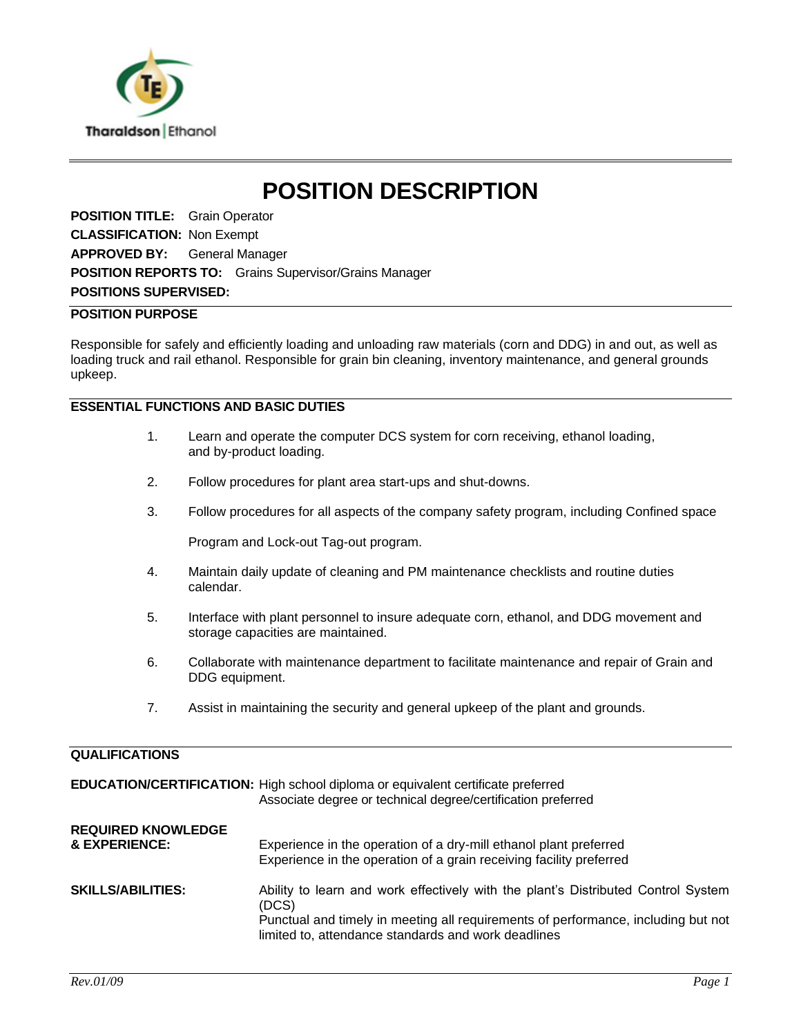

# **POSITION DESCRIPTION**

**POSITION TITLE:** Grain Operator **CLASSIFICATION: Non Exempt APPROVED BY:** General Manager **POSITION REPORTS TO:** Grains Supervisor/Grains Manager **POSITIONS SUPERVISED:**

### **POSITION PURPOSE**

Responsible for safely and efficiently loading and unloading raw materials (corn and DDG) in and out, as well as loading truck and rail ethanol. Responsible for grain bin cleaning, inventory maintenance, and general grounds upkeep.

## **ESSENTIAL FUNCTIONS AND BASIC DUTIES**

- 1. Learn and operate the computer DCS system for corn receiving, ethanol loading, and by-product loading.
- 2. Follow procedures for plant area start-ups and shut-downs.
- 3. Follow procedures for all aspects of the company safety program, including Confined space

Program and Lock-out Tag-out program.

- 4. Maintain daily update of cleaning and PM maintenance checklists and routine duties calendar.
- 5. Interface with plant personnel to insure adequate corn, ethanol, and DDG movement and storage capacities are maintained.
- 6. Collaborate with maintenance department to facilitate maintenance and repair of Grain and DDG equipment.
- 7. Assist in maintaining the security and general upkeep of the plant and grounds.

#### **QUALIFICATIONS**

|                                            | <b>EDUCATION/CERTIFICATION:</b> High school diploma or equivalent certificate preferred<br>Associate degree or technical degree/certification preferred                                                                                |
|--------------------------------------------|----------------------------------------------------------------------------------------------------------------------------------------------------------------------------------------------------------------------------------------|
| <b>REQUIRED KNOWLEDGE</b><br>& EXPERIENCE: | Experience in the operation of a dry-mill ethanol plant preferred<br>Experience in the operation of a grain receiving facility preferred                                                                                               |
| <b>SKILLS/ABILITIES:</b>                   | Ability to learn and work effectively with the plant's Distributed Control System<br>(DCS)<br>Punctual and timely in meeting all requirements of performance, including but not<br>limited to, attendance standards and work deadlines |